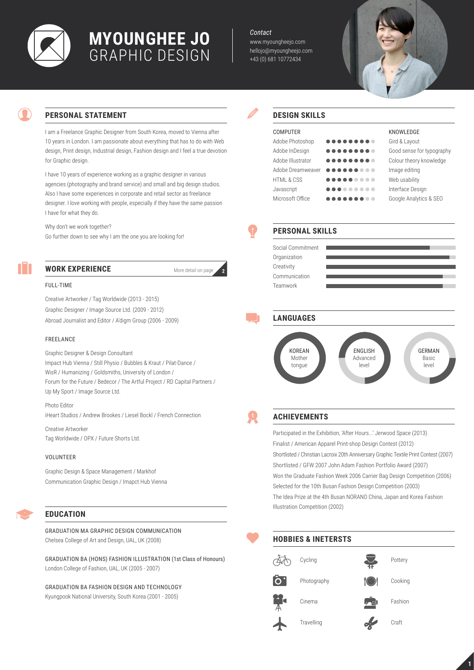

# **Myounghee Jo** Graphic Design

*Contact*

www.myoungheejo.com hellojo@myoungheejo.com +43 (0) 681 10772434



## **Personal Statement**

I am a Freelance Graphic Designer from South Korea, moved to Vienna after 10 years in London. I am passionate about everything that has to do with Web design, Print design, Industrial design, Fashion design and I feel a true devotion for Graphic design.

I have 10 years of experience working as a graphic designer in various agencies (photography and brand service) and small and big design studios. Also I have some experiences in corporate and retail sector as freelance designer. I love working with people, especially if they have the same passion I have for what they do.

Why don't we work together?

Go further down to see why I am the one you are looking for!



## **Work Experience**

More detail on page **2**

### Full-time

Creative Artworker / Tag Worldwide (2013 - 2015) Graphic Designer / Image Source Ltd. (2009 - 2012) Abroad Journalist and Editor / A'digm Group (2006 - 2009)

#### Freelance

Graphic Designer & Design Consultant Impact Hub Vienna / Still Physio / Bubbles & Kraut / Pilat-Dance / WisR / Humanizing / Goldsmiths, University of London / Forum for the Future / Bedecor / The Artful Project / RD Capital Partners / Up My Sport / Image Source Ltd.

Photo Editor iHeart Studios / Andrew Brookes / Liesel Bockl / French Connection

Creative Artworker Tag Worldwide / OPX / Future Shorts Ltd.

#### Volunteer

Graphic Design & Space Management / Markhof Communication Graphic Design / Imapct Hub Vienna

## **Education**

Graduation MA Graphic Design Communication Chelsea College of Art and Design, UAL, UK (2008)

Graduation BA (Hons) Fashion Illustration (1st Class of Honours) London College of Fashion, UAL, UK (2005 - 2007)

Graduation BA Fashion Design and Technology Kyungpook National University, South Korea (2001 - 2005)

### **Design skills**

| <b>COMPUTER</b>       |           | KNOWLEDGE                 |
|-----------------------|-----------|---------------------------|
| Adobe Photoshop       |           | Gird & Layout             |
| Adobe InDesign        |           | Good sense for typography |
| Adobe Illustrator     |           | Colour theory knowledge   |
| Adobe Dreamweaver     | $\bullet$ | Image editing             |
| <b>HTML &amp; CSS</b> | .         | Web usability             |
| Javascript            | .         | Interface Design          |
| Microsoft Office      |           | Google Analytics & SEO    |

## **Personal skills**







## **ACHIEVEMENTS**

Participated in the Exhibition, 'After Hours...' Jerwood Space (2013) Finalist / American Apparel Print-shop Design Contest (2012) Shortlisted / Christian Lacroix 20th Anniversary Graphic Textile Print Contest (2007) Shortlisted / GFW 2007 John Adam Fashion Portfolio Award (2007) Won the Graduate Fashion Week 2006 Carrier Bag Design Competition (2006) Selected for the 10th Busan Fashion Design Competition (2003) The Idea Prize at the 4th Busan NORANO China, Japan and Korea Fashion Illustration Competition (2002)



**1**